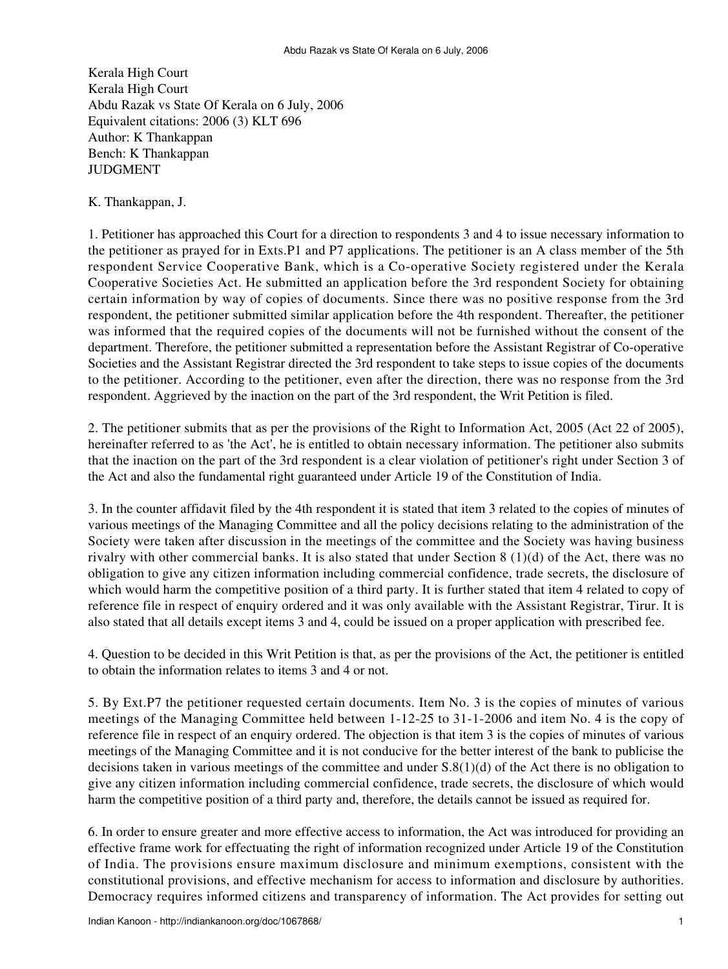Kerala High Court Kerala High Court Abdu Razak vs State Of Kerala on 6 July, 2006 Equivalent citations: 2006 (3) KLT 696 Author: K Thankappan Bench: K Thankappan JUDGMENT

K. Thankappan, J.

1. Petitioner has approached this Court for a direction to respondents 3 and 4 to issue necessary information to the petitioner as prayed for in Exts.P1 and P7 applications. The petitioner is an A class member of the 5th respondent Service Cooperative Bank, which is a Co-operative Society registered under the Kerala Cooperative Societies Act. He submitted an application before the 3rd respondent Society for obtaining certain information by way of copies of documents. Since there was no positive response from the 3rd respondent, the petitioner submitted similar application before the 4th respondent. Thereafter, the petitioner was informed that the required copies of the documents will not be furnished without the consent of the department. Therefore, the petitioner submitted a representation before the Assistant Registrar of Co-operative Societies and the Assistant Registrar directed the 3rd respondent to take steps to issue copies of the documents to the petitioner. According to the petitioner, even after the direction, there was no response from the 3rd respondent. Aggrieved by the inaction on the part of the 3rd respondent, the Writ Petition is filed.

2. The petitioner submits that as per the provisions of the Right to Information Act, 2005 (Act 22 of 2005), hereinafter referred to as 'the Act', he is entitled to obtain necessary information. The petitioner also submits that the inaction on the part of the 3rd respondent is a clear violation of petitioner's right under Section 3 of the Act and also the fundamental right guaranteed under Article 19 of the Constitution of India.

3. In the counter affidavit filed by the 4th respondent it is stated that item 3 related to the copies of minutes of various meetings of the Managing Committee and all the policy decisions relating to the administration of the Society were taken after discussion in the meetings of the committee and the Society was having business rivalry with other commercial banks. It is also stated that under Section 8 (1)(d) of the Act, there was no obligation to give any citizen information including commercial confidence, trade secrets, the disclosure of which would harm the competitive position of a third party. It is further stated that item 4 related to copy of reference file in respect of enquiry ordered and it was only available with the Assistant Registrar, Tirur. It is also stated that all details except items 3 and 4, could be issued on a proper application with prescribed fee.

4. Question to be decided in this Writ Petition is that, as per the provisions of the Act, the petitioner is entitled to obtain the information relates to items 3 and 4 or not.

5. By Ext.P7 the petitioner requested certain documents. Item No. 3 is the copies of minutes of various meetings of the Managing Committee held between 1-12-25 to 31-1-2006 and item No. 4 is the copy of reference file in respect of an enquiry ordered. The objection is that item 3 is the copies of minutes of various meetings of the Managing Committee and it is not conducive for the better interest of the bank to publicise the decisions taken in various meetings of the committee and under S.8(1)(d) of the Act there is no obligation to give any citizen information including commercial confidence, trade secrets, the disclosure of which would harm the competitive position of a third party and, therefore, the details cannot be issued as required for.

6. In order to ensure greater and more effective access to information, the Act was introduced for providing an effective frame work for effectuating the right of information recognized under Article 19 of the Constitution of India. The provisions ensure maximum disclosure and minimum exemptions, consistent with the constitutional provisions, and effective mechanism for access to information and disclosure by authorities. Democracy requires informed citizens and transparency of information. The Act provides for setting out